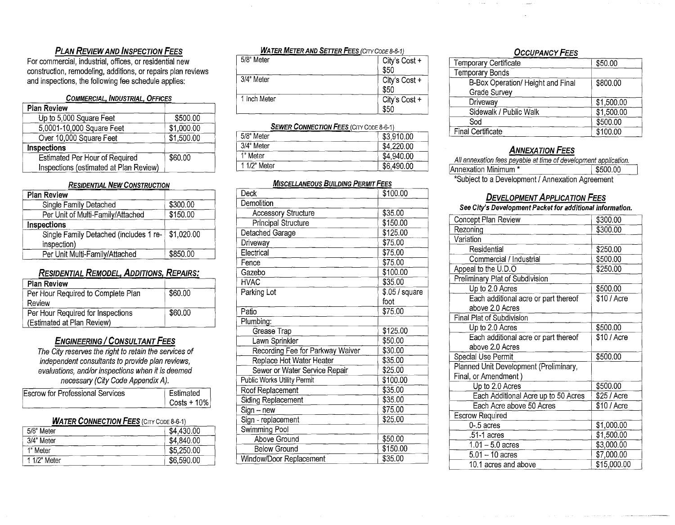#### **PLAN REVIEW AND INSPECTION FEES**

For commercial, industrial, offices, or residential new construction, remodeling, additions, or repairs plan reviews and inspections, the following fee schedule applies:

#### **COMMERCIAL. INDUSTRIAL. OFFICES**

| <b>Plan Review</b>                     |            |
|----------------------------------------|------------|
| Up to 5,000 Square Feet                | \$500.00   |
| 5,0001-10,000 Square Feet              | \$1,000.00 |
| Over 10,000 Square Feet                | \$1,500.00 |
| Inspections                            |            |
| Estimated Per Hour of Required         | \$60.00    |
| Inspections (estimated at Plan Review) |            |

#### **RESIDENTIAL NEW CONSTRUCTION**

| <b>Plan Review</b>                     |            |
|----------------------------------------|------------|
| Single Family Detached                 | \$300.00   |
| Per Unit of Multi-Family/Attached      | \$150.00   |
| Inspections                            |            |
| Single Family Detached (includes 1 re- | \$1,020.00 |
| inspection)                            |            |
| Per Unit Multi-Family/Attached         | \$850.00   |

#### **RESIDENTIAL REMODEL. ADDITIONS. REPAIRS'**

| <b>Plan Review</b>                 |         |
|------------------------------------|---------|
| Per Hour Required to Complete Plan | \$60.00 |
| Review                             |         |
| Per Hour Required for Inspections  | \$60.00 |
| (Estimated at Plan Review)         |         |

#### **ENGINEERING / CONSULTANT FEES**

The City reserves the right *to* retain the services of independent consultants to provide plan reviews, evaluations, and/or inspections when it is deemed necessary (City Code Appendix A).

| Escrow for Professional Services | Estimated              |
|----------------------------------|------------------------|
|                                  | $\sqrt{6}$ Costs + 10% |

#### **WATER CONNECTION FEES (CITY CODE 8-6-1)**

| 5/8" Meter   | \$4,430.00 |
|--------------|------------|
| 3/4" Meter   | \$4,840.00 |
| 1" Meter     | \$5,250.00 |
| 1 1/2" Meter | \$6,590.00 |

| <b>WATER METER AND SETTER FEES (CITY CODE 8-6-1)</b> |                       |  |
|------------------------------------------------------|-----------------------|--|
| 5/8" Meter                                           | City's Cost +<br>\$50 |  |
| 3/4" Meter                                           | City's Cost +<br>\$50 |  |
| 1 Inch Meter                                         | City's Cost +<br>\$50 |  |

#### **SEWER CONNECTION FEES (CITY CODE 8-6-1)**

| 5/8" Meter   | \$3,910.00 |
|--------------|------------|
| 3/4" Meter   | \$4,220.00 |
| 1" Meter     | \$4,940.00 |
| 1 1/2" Meter | \$6,490.00 |

#### **MISCELLANEOUS BUILDING PERMIT FEES**

| Deck                             | \$100.00                    |
|----------------------------------|-----------------------------|
| Demolition                       |                             |
| <b>Accessory Structure</b>       | \$35.00                     |
| Principal Structure              | \$150.00                    |
| Detached Garage                  | \$125.00                    |
| Driveway                         | \$75.00                     |
| Electrical                       | \$75.00                     |
| Fence                            | \$75.00                     |
| Gazebo                           | \$100.00                    |
| <b>HVAC</b>                      | \$35.00                     |
| Parking Lot                      | $\overline{$}0.05$ / square |
|                                  | foot                        |
| Patio                            | \$75.00                     |
| Plumbing:                        |                             |
| Grease Trap                      | \$125.00                    |
| Lawn Sprinkler                   | \$50.00                     |
| Recording Fee for Parkway Waiver | \$30.00                     |
| Replace Hot Water Heater         | \$35.00                     |
| Sewer or Water Service Repair    | \$25.00                     |
| Public Works Utility Permit      | \$100.00                    |
| Roof Replacement                 | \$35.00                     |
| Siding Replacement               | \$35.00                     |
| Sign - new                       | \$75.00                     |
| Sign - replacement               | \$25.00                     |
| Swimming Pool                    |                             |
| Above Ground                     | \$50.00                     |
| <b>Below Ground</b>              | \$150.00                    |
| Window/Door Replacement          | \$35.00                     |

#### **OCCUPANCY FEES**

| Temporary Certificate             | \$50.00    |
|-----------------------------------|------------|
| <b>Temporary Bonds</b>            |            |
| B-Box Operation/ Height and Final | \$800.00   |
| Grade Survey                      |            |
| Driveway                          | \$1,500.00 |
| Sidewalk / Public Walk            | \$1,500.00 |
| Sod                               | \$500.00   |
| <b>Final Certificate</b>          | \$100.00   |

#### **ANNEXATION FEES**

| All annexation fees payable at time of development application. |          |  |
|-----------------------------------------------------------------|----------|--|
| Annexation Minimum *                                            | \$500.00 |  |
| *Subject to a Development / Annexation Agreement                |          |  |

#### **DEVELOPMENT APPL/CATION FEES**

#### **See City's Development Packet for additional information.**

| Concept Plan Review                    | \$300.00    |
|----------------------------------------|-------------|
| Rezoning                               | \$300.00    |
| Variation                              |             |
| Residential                            | \$250.00    |
| Commercial / Industrial                | \$500.00    |
| Appeal to the U.D.O                    | \$250.00    |
| Preliminary Plat of Subdivision        |             |
| Up to 2.0 Acres                        | \$500.00    |
| Each additional acre or part thereof   | \$10 / Acre |
| above 2.0 Acres                        |             |
| Final Plat of Subdivision              |             |
| Up to 2.0 Acres                        | \$500.00    |
| Each additional acre or part thereof   | \$10 / Acre |
| above 2.0 Acres                        |             |
| Special Use Permit                     | \$500.00    |
| Planned Unit Development (Preliminary, |             |
| Final, or Amendment)                   |             |
| Up to 2.0 Acres                        | \$500.00    |
| Each Additional Acre up to 50 Acres    | \$25 / Acre |
| Each Acre above 50 Acres               | \$10 / Acre |
| <b>Escrow Required</b>                 |             |
| $0 - 5$ acres                          | \$1,000.00  |
| .51-1 acres                            | \$1,500.00  |
| $1.01 - 5.0$ acres                     | \$3,000.00  |
| $5.01 - 10$ acres                      | \$7,000.00  |
| 10.1 acres and above                   | \$15,000.00 |